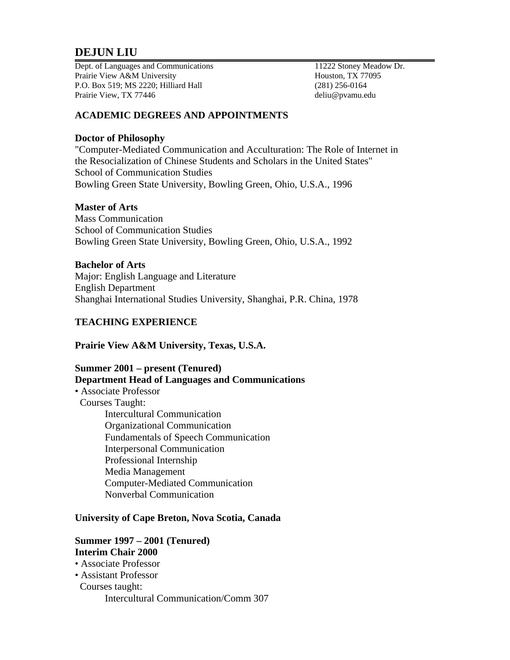# **DEJUN LIU**

Dept. of Languages and Communications 11222 Stoney Meadow Dr. Prairie View A&M University **Houston, TX 77095** P.O. Box 519; MS 2220; Hilliard Hall (281) 256-0164 Prairie View, TX 77446 deliu@pvamu.edu

## **ACADEMIC DEGREES AND APPOINTMENTS**

### **Doctor of Philosophy**

"Computer-Mediated Communication and Acculturation: The Role of Internet in the Resocialization of Chinese Students and Scholars in the United States" School of Communication Studies Bowling Green State University, Bowling Green, Ohio, U.S.A., 1996

### **Master of Arts**

Mass Communication School of Communication Studies Bowling Green State University, Bowling Green, Ohio, U.S.A., 1992

#### **Bachelor of Arts**

Major: English Language and Literature English Department Shanghai International Studies University, Shanghai, P.R. China, 1978

### **TEACHING EXPERIENCE**

### **Prairie View A&M University, Texas, U.S.A.**

### **Summer 2001 – present (Tenured) Department Head of Languages and Communications**

• Associate Professor Courses Taught: Intercultural Communication Organizational Communication Fundamentals of Speech Communication Interpersonal Communication Professional Internship Media Management Computer-Mediated Communication Nonverbal Communication

### **University of Cape Breton, Nova Scotia, Canada**

### **Summer 1997 – 2001 (Tenured) Interim Chair 2000**

• Associate Professor

- Assistant Professor
- Courses taught: Intercultural Communication/Comm 307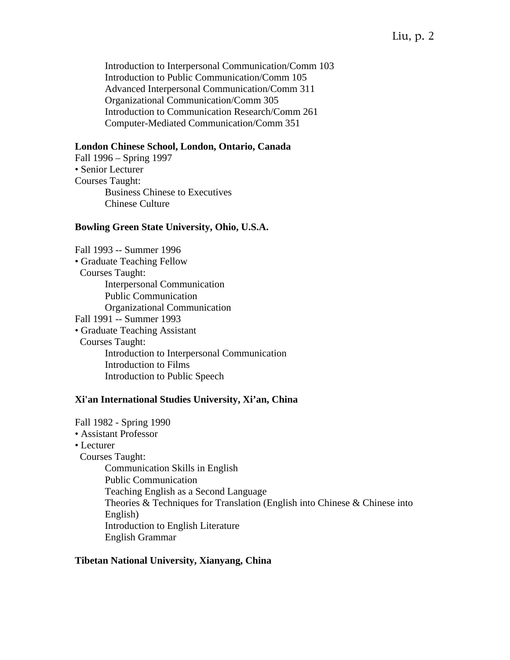# Liu, p. 2

 Introduction to Interpersonal Communication/Comm 103 Introduction to Public Communication/Comm 105 Advanced Interpersonal Communication/Comm 311 Organizational Communication/Comm 305 Introduction to Communication Research/Comm 261 Computer-Mediated Communication/Comm 351

### **London Chinese School, London, Ontario, Canada**

Fall 1996 – Spring 1997 • Senior Lecturer Courses Taught: Business Chinese to Executives Chinese Culture

#### **Bowling Green State University, Ohio, U.S.A.**

Fall 1993 -- Summer 1996 • Graduate Teaching Fellow Courses Taught: Interpersonal Communication Public Communication Organizational Communication Fall 1991 -- Summer 1993 • Graduate Teaching Assistant Courses Taught: Introduction to Interpersonal Communication Introduction to Films Introduction to Public Speech

#### **Xi'an International Studies University, Xi'an, China**

Fall 1982 - Spring 1990 • Assistant Professor • Lecturer Courses Taught: Communication Skills in English Public Communication Teaching English as a Second Language Theories & Techniques for Translation (English into Chinese & Chinese into English) Introduction to English Literature English Grammar

#### **Tibetan National University, Xianyang, China**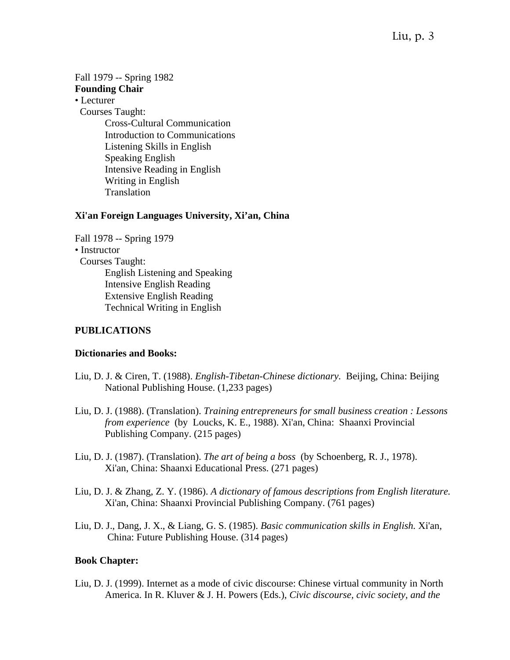Fall 1979 -- Spring 1982 **Founding Chair** 

• Lecturer

Courses Taught:

 Cross-Cultural Communication Introduction to Communications Listening Skills in English Speaking English Intensive Reading in English Writing in English Translation

# **Xi'an Foreign Languages University, Xi'an, China**

Fall 1978 -- Spring 1979

• Instructor

 Courses Taught: English Listening and Speaking Intensive English Reading Extensive English Reading Technical Writing in English

# **PUBLICATIONS**

# **Dictionaries and Books:**

- Liu, D. J. & Ciren, T. (1988). *English-Tibetan-Chinese dictionary.* Beijing, China: Beijing National Publishing House. (1,233 pages)
- Liu, D. J. (1988). (Translation). *Training entrepreneurs for small business creation : Lessons from experience* (by Loucks, K. E., 1988). Xi'an, China: Shaanxi Provincial Publishing Company. (215 pages)
- Liu, D. J. (1987). (Translation). *The art of being a boss* (by Schoenberg, R. J., 1978). Xi'an, China: Shaanxi Educational Press. (271 pages)
- Liu, D. J. & Zhang, Z. Y. (1986). *A dictionary of famous descriptions from English literature.* Xi'an, China: Shaanxi Provincial Publishing Company. (761 pages)
- Liu, D. J., Dang, J. X., & Liang, G. S. (1985). *Basic communication skills in English.* Xi'an, China: Future Publishing House. (314 pages)

# **Book Chapter:**

Liu, D. J. (1999). Internet as a mode of civic discourse: Chinese virtual community in North America. In R. Kluver & J. H. Powers (Eds.), *Civic discourse, civic society, and the*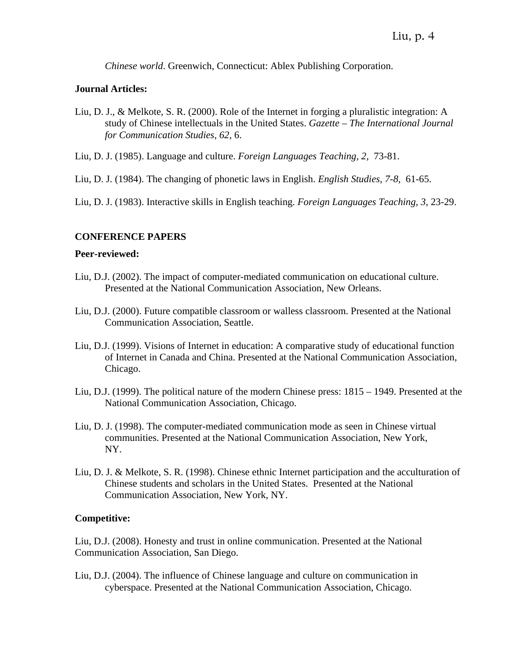*Chinese world*. Greenwich, Connecticut: Ablex Publishing Corporation.

# **Journal Articles:**

- Liu, D. J., & Melkote, S. R. (2000). Role of the Internet in forging a pluralistic integration: A study of Chinese intellectuals in the United States. *Gazette – The International Journal for Communication Studies, 62,* 6.
- Liu, D. J. (1985). Language and culture. *Foreign Languages Teaching, 2,* 73-81.
- Liu, D. J. (1984). The changing of phonetic laws in English. *English Studies*, *7-8,* 61-65.

Liu, D. J. (1983). Interactive skills in English teaching. *Foreign Languages Teaching, 3*, 23-29.

# **CONFERENCE PAPERS**

### **Peer-reviewed:**

- Liu, D.J. (2002). The impact of computer-mediated communication on educational culture. Presented at the National Communication Association, New Orleans.
- Liu, D.J. (2000). Future compatible classroom or walless classroom. Presented at the National Communication Association, Seattle.
- Liu, D.J. (1999). Visions of Internet in education: A comparative study of educational function of Internet in Canada and China. Presented at the National Communication Association, Chicago.
- Liu, D.J. (1999). The political nature of the modern Chinese press: 1815 1949. Presented at the National Communication Association, Chicago.
- Liu, D. J. (1998). The computer-mediated communication mode as seen in Chinese virtual communities. Presented at the National Communication Association, New York, NY.
- Liu, D. J. & Melkote, S. R. (1998). Chinese ethnic Internet participation and the acculturation of Chinese students and scholars in the United States. Presented at the National Communication Association, New York, NY.

# **Competitive:**

Liu, D.J. (2008). Honesty and trust in online communication. Presented at the National Communication Association, San Diego.

Liu, D.J. (2004). The influence of Chinese language and culture on communication in cyberspace. Presented at the National Communication Association, Chicago.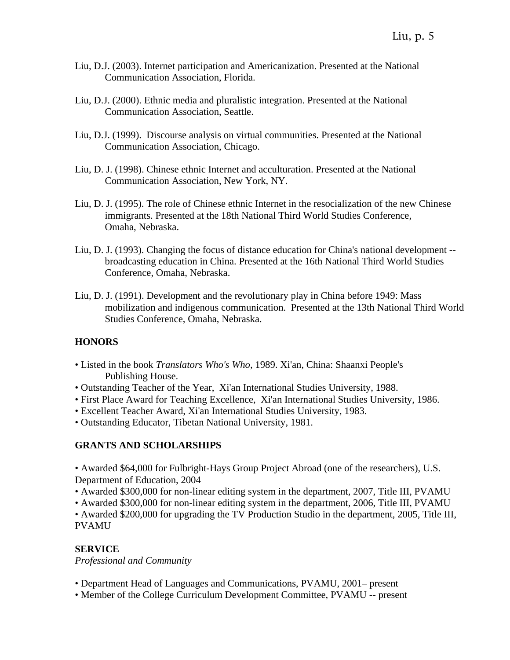- Liu, D.J. (2003). Internet participation and Americanization. Presented at the National Communication Association, Florida.
- Liu, D.J. (2000). Ethnic media and pluralistic integration. Presented at the National Communication Association, Seattle.
- Liu, D.J. (1999). Discourse analysis on virtual communities. Presented at the National Communication Association, Chicago.
- Liu, D. J. (1998). Chinese ethnic Internet and acculturation. Presented at the National Communication Association, New York, NY.
- Liu, D. J. (1995). The role of Chinese ethnic Internet in the resocialization of the new Chinese immigrants. Presented at the 18th National Third World Studies Conference, Omaha, Nebraska.
- Liu, D. J. (1993). Changing the focus of distance education for China's national development broadcasting education in China. Presented at the 16th National Third World Studies Conference, Omaha, Nebraska.
- Liu, D. J. (1991). Development and the revolutionary play in China before 1949: Mass mobilization and indigenous communication. Presented at the 13th National Third World Studies Conference, Omaha, Nebraska.

# **HONORS**

- Listed in the book *Translators Who's Who,* 1989. Xi'an, China: Shaanxi People's Publishing House.
- Outstanding Teacher of the Year, Xi'an International Studies University, 1988.
- First Place Award for Teaching Excellence, Xi'an International Studies University, 1986.
- Excellent Teacher Award, Xi'an International Studies University, 1983.
- Outstanding Educator, Tibetan National University, 1981.

# **GRANTS AND SCHOLARSHIPS**

• Awarded \$64,000 for Fulbright-Hays Group Project Abroad (one of the researchers), U.S. Department of Education, 2004

• Awarded \$300,000 for non-linear editing system in the department, 2007, Title III, PVAMU

• Awarded \$300,000 for non-linear editing system in the department, 2006, Title III, PVAMU

• Awarded \$200,000 for upgrading the TV Production Studio in the department, 2005, Title III, PVAMU

# **SERVICE**

*Professional and Community* 

- Department Head of Languages and Communications, PVAMU, 2001– present
- Member of the College Curriculum Development Committee, PVAMU -- present